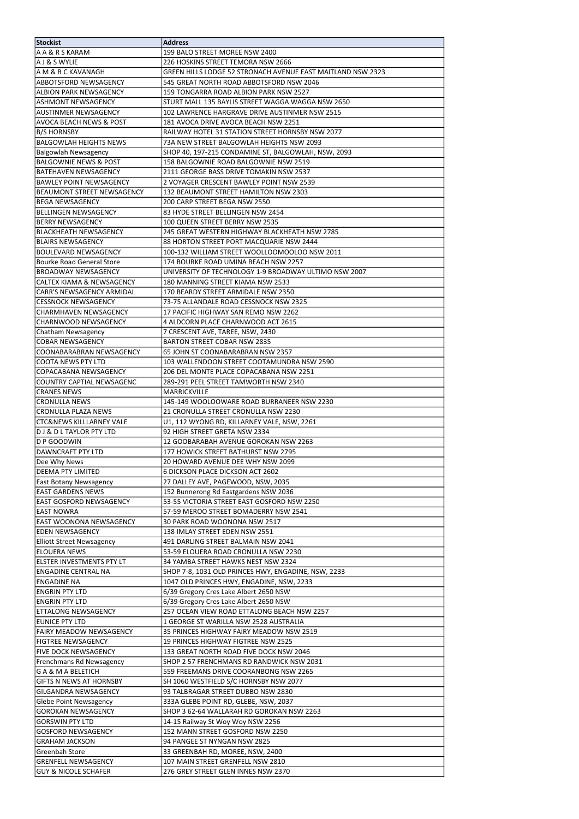| Stockist                            | <b>Address</b>                                              |
|-------------------------------------|-------------------------------------------------------------|
| A A & R S KARAM                     | 199 BALO STREET MOREE NSW 2400                              |
| A J & S WYLIE                       | 226 HOSKINS STREET TEMORA NSW 2666                          |
| A M & B C KAVANAGH                  | GREEN HILLS LODGE 52 STRONACH AVENUE EAST MAITLAND NSW 2323 |
| ABBOTSFORD NEWSAGENCY               | 545 GREAT NORTH ROAD ABBOTSFORD NSW 2046                    |
| ALBION PARK NEWSAGENCY              | 159 TONGARRA ROAD ALBION PARK NSW 2527                      |
| <b>ASHMONT NEWSAGENCY</b>           | STURT MALL 135 BAYLIS STREET WAGGA WAGGA NSW 2650           |
| <b>AUSTINMER NEWSAGENCY</b>         | 102 LAWRENCE HARGRAVE DRIVE AUSTINMER NSW 2515              |
| <b>AVOCA BEACH NEWS &amp; POST</b>  | 181 AVOCA DRIVE AVOCA BEACH NSW 2251                        |
| <b>B/S HORNSBY</b>                  | RAILWAY HOTEL 31 STATION STREET HORNSBY NSW 2077            |
| <b>BALGOWLAH HEIGHTS NEWS</b>       | 73A NEW STREET BALGOWLAH HEIGHTS NSW 2093                   |
| <b>Balgowlah Newsagency</b>         | SHOP 40, 197-215 CONDAMINE ST, BALGOWLAH, NSW, 2093         |
| <b>BALGOWNIE NEWS &amp; POST</b>    | 158 BALGOWNIE ROAD BALGOWNIE NSW 2519                       |
| <b>BATEHAVEN NEWSAGENCY</b>         | 2111 GEORGE BASS DRIVE TOMAKIN NSW 2537                     |
|                                     |                                                             |
| <b>BAWLEY POINT NEWSAGENCY</b>      | 2 VOYAGER CRESCENT BAWLEY POINT NSW 2539                    |
| BEAUMONT STREET NEWSAGENCY          | 132 BEAUMONT STREET HAMILTON NSW 2303                       |
| <b>BEGA NEWSAGENCY</b>              | 200 CARP STREET BEGA NSW 2550                               |
| <b>BELLINGEN NEWSAGENCY</b>         | 83 HYDE STREET BELLINGEN NSW 2454                           |
| <b>BERRY NEWSAGENCY</b>             | 100 QUEEN STREET BERRY NSW 2535                             |
| <b>BLACKHEATH NEWSAGENCY</b>        | 245 GREAT WESTERN HIGHWAY BLACKHEATH NSW 2785               |
| <b>BLAIRS NEWSAGENCY</b>            | 88 HORTON STREET PORT MACQUARIE NSW 2444                    |
| <b>BOULEVARD NEWSAGENCY</b>         | 100-132 WILLIAM STREET WOOLLOOMOOLOO NSW 2011               |
| <b>Bourke Road General Store</b>    | 174 BOURKE ROAD UMINA BEACH NSW 2257                        |
| <b>BROADWAY NEWSAGENCY</b>          | UNIVERSITY OF TECHNOLOGY 1-9 BROADWAY ULTIMO NSW 2007       |
| CALTEX KIAMA & NEWSAGENCY           | 180 MANNING STREET KIAMA NSW 2533                           |
| <b>CARR'S NEWSAGENCY ARMIDAL</b>    | 170 BEARDY STREET ARMIDALE NSW 2350                         |
| <b>CESSNOCK NEWSAGENCY</b>          | 73-75 ALLANDALE ROAD CESSNOCK NSW 2325                      |
| <b>CHARMHAVEN NEWSAGENCY</b>        | 17 PACIFIC HIGHWAY SAN REMO NSW 2262                        |
| <b>CHARNWOOD NEWSAGENCY</b>         | 4 ALDCORN PLACE CHARNWOOD ACT 2615                          |
| Chatham Newsagency                  | 7 CRESCENT AVE, TAREE, NSW, 2430                            |
| <b>COBAR NEWSAGENCY</b>             | BARTON STREET COBAR NSW 2835                                |
| COONABARABRAN NEWSAGENCY            | 65 JOHN ST COONABARABRAN NSW 2357                           |
| <b>COOTA NEWS PTY LTD</b>           | 103 WALLENDOON STREET COOTAMUNDRA NSW 2590                  |
|                                     | 206 DEL MONTE PLACE COPACABANA NSW 2251                     |
| COPACABANA NEWSAGENCY               | 289-291 PEEL STREET TAMWORTH NSW 2340                       |
| <b>COUNTRY CAPTIAL NEWSAGENC</b>    |                                                             |
| <b>CRANES NEWS</b>                  | MARRICKVILLE<br>145-149 WOOLOOWARE ROAD BURRANEER NSW 2230  |
| <b>CRONULLA NEWS</b>                |                                                             |
| <b>CRONULLA PLAZA NEWS</b>          | 21 CRONULLA STREET CRONULLA NSW 2230                        |
| <b>CTC&amp;NEWS KILLLARNEY VALE</b> | U1, 112 WYONG RD, KILLARNEY VALE, NSW, 2261                 |
| <b>DJ &amp; D L TAYLOR PTY LTD</b>  | 92 HIGH STREET GRETA NSW 2334                               |
| <b>D P GOODWIN</b>                  | 12 GOOBARABAH AVENUE GOROKAN NSW 2263                       |
| <b>DAWNCRAFT PTY LTD</b>            | 177 HOWICK STREET BATHURST NSW 2795                         |
| Dee Why News                        | 20 HOWARD AVENUE DEE WHY NSW 2099                           |
| <b>DEEMA PTY LIMITED</b>            | 6 DICKSON PLACE DICKSON ACT 2602                            |
| East Botany Newsagency              | 27 DALLEY AVE, PAGEWOOD, NSW, 2035                          |
| <b>EAST GARDENS NEWS</b>            | 152 Bunnerong Rd Eastgardens NSW 2036                       |
| EAST GOSFORD NEWSAGENCY             | 53-55 VICTORIA STREET EAST GOSFORD NSW 2250                 |
| <b>EAST NOWRA</b>                   | 57-59 MEROO STREET BOMADERRY NSW 2541                       |
| <b>EAST WOONONA NEWSAGENCY</b>      | 30 PARK ROAD WOONONA NSW 2517                               |
| <b>EDEN NEWSAGENCY</b>              | 138 IMLAY STREET EDEN NSW 2551                              |
| <b>Elliott Street Newsagency</b>    | 491 DARLING STREET BALMAIN NSW 2041                         |
| <b>ELOUERA NEWS</b>                 | 53-59 ELOUERA ROAD CRONULLA NSW 2230                        |
| ELSTER INVESTMENTS PTY LT           | 34 YAMBA STREET HAWKS NEST NSW 2324                         |
| <b>ENGADINE CENTRAL NA</b>          | SHOP 7-8, 1031 OLD PRINCES HWY, ENGADINE, NSW, 2233         |
| <b>ENGADINE NA</b>                  | 1047 OLD PRINCES HWY, ENGADINE, NSW, 2233                   |
| <b>ENGRIN PTY LTD</b>               | 6/39 Gregory Cres Lake Albert 2650 NSW                      |
| <b>ENGRIN PTY LTD</b>               | 6/39 Gregory Cres Lake Albert 2650 NSW                      |
| ETTALONG NEWSAGENCY                 | 257 OCEAN VIEW ROAD ETTALONG BEACH NSW 2257                 |
| <b>EUNICE PTY LTD</b>               | 1 GEORGE ST WARILLA NSW 2528 AUSTRALIA                      |
| FAIRY MEADOW NEWSAGENCY             | 35 PRINCES HIGHWAY FAIRY MEADOW NSW 2519                    |
| <b>FIGTREE NEWSAGENCY</b>           | 19 PRINCES HIGHWAY FIGTREE NSW 2525                         |
| FIVE DOCK NEWSAGENCY                | 133 GREAT NORTH ROAD FIVE DOCK NSW 2046                     |
| Frenchmans Rd Newsagency            | SHOP 2 57 FRENCHMANS RD RANDWICK NSW 2031                   |
| <b>GA&amp;MABELETICH</b>            | 559 FREEMANS DRIVE COORANBONG NSW 2265                      |
| <b>GIFTS N NEWS AT HORNSBY</b>      | SH 1060 WESTFIELD S/C HORNSBY NSW 2077                      |
| <b>GILGANDRA NEWSAGENCY</b>         | 93 TALBRAGAR STREET DUBBO NSW 2830                          |
| <b>Glebe Point Newsagency</b>       | 333A GLEBE POINT RD, GLEBE, NSW, 2037                       |
| <b>GOROKAN NEWSAGENCY</b>           | SHOP 3 62-64 WALLARAH RD GOROKAN NSW 2263                   |
| <b>GORSWIN PTY LTD</b>              | 14-15 Railway St Woy Woy NSW 2256                           |
| <b>GOSFORD NEWSAGENCY</b>           | 152 MANN STREET GOSFORD NSW 2250                            |
| <b>GRAHAM JACKSON</b>               | 94 PANGEE ST NYNGAN NSW 2825                                |
| Greenbah Store                      | 33 GREENBAH RD, MOREE, NSW, 2400                            |
| <b>GRENFELL NEWSAGENCY</b>          | 107 MAIN STREET GRENFELL NSW 2810                           |
| <b>GUY &amp; NICOLE SCHAFER</b>     | 276 GREY STREET GLEN INNES NSW 2370                         |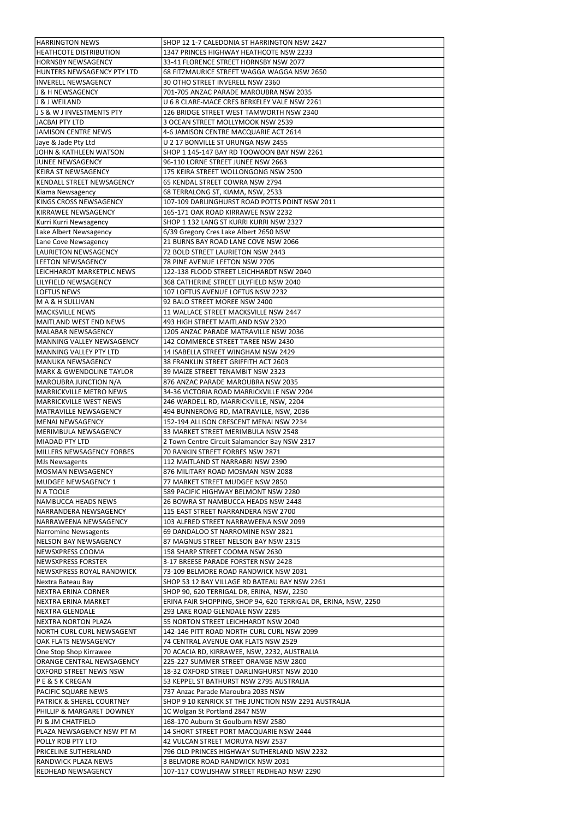| <b>HARRINGTON NEWS</b>                                 | SHOP 12 1-7 CALEDONIA ST HARRINGTON NSW 2427                                   |
|--------------------------------------------------------|--------------------------------------------------------------------------------|
| <b>HEATHCOTE DISTRIBUTION</b>                          | 1347 PRINCES HIGHWAY HEATHCOTE NSW 2233                                        |
| <b>HORNSBY NEWSAGENCY</b>                              | 33-41 FLORENCE STREET HORNSBY NSW 2077                                         |
| <b>HUNTERS NEWSAGENCY PTY LTD</b>                      | 68 FITZMAURICE STREET WAGGA WAGGA NSW 2650                                     |
| <b>INVERELL NEWSAGENCY</b>                             | 30 OTHO STREET INVERELL NSW 2360                                               |
| J & H NEWSAGENCY                                       | 701-705 ANZAC PARADE MAROUBRA NSW 2035                                         |
| J & J WEILAND                                          | U 6 8 CLARE-MACE CRES BERKELEY VALE NSW 2261                                   |
| <b>JS &amp; W JINVESTMENTS PTY</b>                     | 126 BRIDGE STREET WEST TAMWORTH NSW 2340                                       |
| IJACBAI PTY LTD                                        | 3 OCEAN STREET MOLLYMOOK NSW 2539                                              |
| IJAMISON CENTRE NEWS                                   | 4-6 JAMISON CENTRE MACQUARIE ACT 2614                                          |
| Jaye & Jade Pty Ltd                                    | U 2 17 BONVILLE ST URUNGA NSW 2455                                             |
| <b>JOHN &amp; KATHLEEN WATSON</b>                      | SHOP 1 145-147 BAY RD TOOWOON BAY NSW 2261                                     |
| <b>JUNEE NEWSAGENCY</b>                                | 96-110 LORNE STREET JUNEE NSW 2663                                             |
| KEIRA ST NEWSAGENCY                                    | 175 KEIRA STREET WOLLONGONG NSW 2500                                           |
| <b>KENDALL STREET NEWSAGENCY</b>                       | 65 KENDAL STREET COWRA NSW 2794                                                |
| Kiama Newsagency                                       | 68 TERRALONG ST, KIAMA, NSW, 2533                                              |
| KINGS CROSS NEWSAGENCY                                 | 107-109 DARLINGHURST ROAD POTTS POINT NSW 2011                                 |
| KIRRAWEE NEWSAGENCY                                    | 165-171 OAK ROAD KIRRAWEE NSW 2232                                             |
| Kurri Kurri Newsagency                                 | SHOP 1 132 LANG ST KURRI KURRI NSW 2327                                        |
| Lake Albert Newsagency                                 |                                                                                |
| Lane Cove Newsagency                                   | 6/39 Gregory Cres Lake Albert 2650 NSW<br>21 BURNS BAY ROAD LANE COVE NSW 2066 |
|                                                        |                                                                                |
| LAURIETON NEWSAGENCY                                   | 72 BOLD STREET LAURIETON NSW 2443                                              |
| <b>ILEETON NEWSAGENCY</b><br>LEICHHARDT MARKETPLC NEWS | 78 PINE AVENUE LEETON NSW 2705<br>122-138 FLOOD STREET LEICHHARDT NSW 2040     |
|                                                        |                                                                                |
| LILYFIELD NEWSAGENCY                                   | 368 CATHERINE STREET LILYFIELD NSW 2040                                        |
| <b>LOFTUS NEWS</b>                                     | 107 LOFTUS AVENUE LOFTUS NSW 2232                                              |
| MA&H SULLIVAN                                          | 92 BALO STREET MOREE NSW 2400                                                  |
| <b>MACKSVILLE NEWS</b>                                 | 11 WALLACE STREET MACKSVILLE NSW 2447                                          |
| <b>MAITLAND WEST END NEWS</b>                          | 493 HIGH STREET MAITLAND NSW 2320                                              |
| <b>MALABAR NEWSAGENCY</b>                              | 1205 ANZAC PARADE MATRAVILLE NSW 2036                                          |
| MANNING VALLEY NEWSAGENCY                              | 142 COMMERCE STREET TAREE NSW 2430                                             |
| MANNING VALLEY PTY LTD                                 | 14 ISABELLA STREET WINGHAM NSW 2429                                            |
| MANUKA NEWSAGENCY                                      | 38 FRANKLIN STREET GRIFFITH ACT 2603                                           |
| MARK & GWENDOLINE TAYLOR                               | 39 MAIZE STREET TENAMBIT NSW 2323                                              |
| MAROUBRA JUNCTION N/A                                  | 876 ANZAC PARADE MAROUBRA NSW 2035                                             |
| <b>MARRICKVILLE METRO NEWS</b>                         | 34-36 VICTORIA ROAD MARRICKVILLE NSW 2204                                      |
| <b>MARRICKVILLE WEST NEWS</b>                          | 246 WARDELL RD, MARRICKVILLE, NSW, 2204                                        |
| MATRAVILLE NEWSAGENCY                                  | 494 BUNNERONG RD, MATRAVILLE, NSW, 2036                                        |
| <b>MENAI NEWSAGENCY</b>                                | 152-194 ALLISON CRESCENT MENAI NSW 2234                                        |
| MERIMBULA NEWSAGENCY                                   | 33 MARKET STREET MERIMBULA NSW 2548                                            |
| <b>MIADAD PTY LTD</b>                                  | 2 Town Centre Circuit Salamander Bay NSW 2317                                  |
| <b>MILLERS NEWSAGENCY FORBES</b>                       | 70 RANKIN STREET FORBES NSW 2871                                               |
| <b>MJs Newsagents</b>                                  | 112 MAITLAND ST NARRABRI NSW 2390                                              |
| <b>MOSMAN NEWSAGENCY</b>                               | 876 MILITARY ROAD MOSMAN NSW 2088                                              |
| MUDGEE NEWSAGENCY 1                                    | 77 MARKET STREET MUDGEE NSW 2850                                               |
| N A TOOLE                                              | 589 PACIFIC HIGHWAY BELMONT NSW 2280                                           |
| NAMBUCCA HEADS NEWS                                    | 26 BOWRA ST NAMBUCCA HEADS NSW 2448                                            |
| NARRANDERA NEWSAGENCY                                  | 115 EAST STREET NARRANDERA NSW 2700                                            |
| NARRAWEENA NEWSAGENCY                                  | 103 ALFRED STREET NARRAWEENA NSW 2099                                          |
| Narromine Newsagents                                   | 69 DANDALOO ST NARROMINE NSW 2821                                              |
| <b>NELSON BAY NEWSAGENCY</b>                           | 87 MAGNUS STREET NELSON BAY NSW 2315                                           |
| <b>NEWSXPRESS COOMA</b>                                | 158 SHARP STREET COOMA NSW 2630                                                |
| NEWSXPRESS FORSTER                                     | 3-17 BREESE PARADE FORSTER NSW 2428                                            |
| <b>NEWSXPRESS ROYAL RANDWICK</b>                       | 73-109 BELMORE ROAD RANDWICK NSW 2031                                          |
| Nextra Bateau Bay                                      | SHOP 53 12 BAY VILLAGE RD BATEAU BAY NSW 2261                                  |
| <b>NEXTRA ERINA CORNER</b>                             | SHOP 90, 620 TERRIGAL DR, ERINA, NSW, 2250                                     |
| NEXTRA ERINA MARKET                                    | ERINA FAIR SHOPPING, SHOP 94, 620 TERRIGAL DR, ERINA, NSW, 2250                |
| lNEXTRA GLENDALE                                       | 293 LAKE ROAD GLENDALE NSW 2285                                                |
| NEXTRA NORTON PLAZA                                    | 55 NORTON STREET LEICHHARDT NSW 2040                                           |
| <b>NORTH CURL CURL NEWSAGENT</b>                       | 142-146 PITT ROAD NORTH CURL CURL NSW 2099                                     |
| <b>OAK FLATS NEWSAGENCY</b>                            | 74 CENTRAL AVENUE OAK FLATS NSW 2529                                           |
| One Stop Shop Kirrawee                                 | 70 ACACIA RD, KIRRAWEE, NSW, 2232, AUSTRALIA                                   |
| ORANGE CENTRAL NEWSAGENCY                              | 225-227 SUMMER STREET ORANGE NSW 2800                                          |
| <b>OXFORD STREET NEWS NSW</b>                          | 18-32 OXFORD STREET DARLINGHURST NSW 2010                                      |
| <b>PE&amp;SKCREGAN</b>                                 | 53 KEPPEL ST BATHURST NSW 2795 AUSTRALIA                                       |
| <b>PACIFIC SQUARE NEWS</b>                             | 737 Anzac Parade Maroubra 2035 NSW                                             |
| <b>PATRICK &amp; SHEREL COURTNEY</b>                   | SHOP 9 10 KENRICK ST THE JUNCTION NSW 2291 AUSTRALIA                           |
| PHILLIP & MARGARET DOWNEY                              | 1C Wolgan St Portland 2847 NSW                                                 |
| PJ & JM CHATFIELD                                      | 168-170 Auburn St Goulburn NSW 2580                                            |
| PLAZA NEWSAGENCY NSW PT M                              | 14 SHORT STREET PORT MACQUARIE NSW 2444                                        |
| <b>POLLY ROB PTY LTD</b>                               | 42 VULCAN STREET MORUYA NSW 2537                                               |
| <b>PRICELINE SUTHERLAND</b>                            | 796 OLD PRINCES HIGHWAY SUTHERLAND NSW 2232                                    |
| <b>RANDWICK PLAZA NEWS</b>                             | 3 BELMORE ROAD RANDWICK NSW 2031                                               |
| <b>REDHEAD NEWSAGENCY</b>                              | 107-117 COWLISHAW STREET REDHEAD NSW 2290                                      |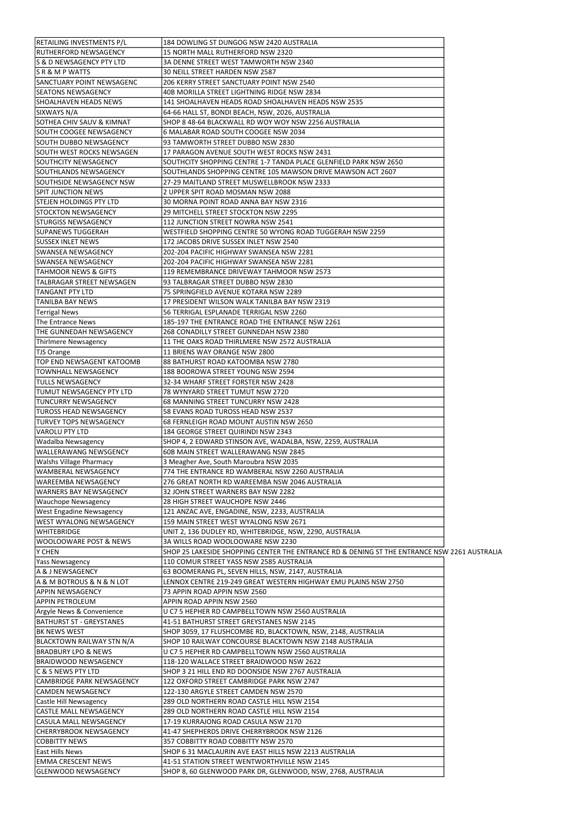| <b>RETAILING INVESTMENTS P/L</b>                     | 184 DOWLING ST DUNGOG NSW 2420 AUSTRALIA                                                     |  |
|------------------------------------------------------|----------------------------------------------------------------------------------------------|--|
| IRUTHERFORD NEWSAGENCY                               | 15 NORTH MALL RUTHERFORD NSW 2320                                                            |  |
| ls & D NEWSAGENCY PTY LTD                            | 3A DENNE STREET WEST TAMWORTH NSW 2340                                                       |  |
| <b>S R &amp; M P WATTS</b>                           | 30 NEILL STREET HARDEN NSW 2587                                                              |  |
| SANCTUARY POINT NEWSAGENC                            | 206 KERRY STREET SANCTUARY POINT NSW 2540                                                    |  |
|                                                      |                                                                                              |  |
| <b>SEATONS NEWSAGENCY</b>                            | 40B MORILLA STREET LIGHTNING RIDGE NSW 2834                                                  |  |
| SHOALHAVEN HEADS NEWS                                | 141 SHOALHAVEN HEADS ROAD SHOALHAVEN HEADS NSW 2535                                          |  |
| SIXWAYS N/A                                          | 64-66 HALL ST, BONDI BEACH, NSW, 2026, AUSTRALIA                                             |  |
| <b>SOTHEA CHIV SAUV &amp; KIMNAT</b>                 | SHOP 8 48-64 BLACKWALL RD WOY WOY NSW 2256 AUSTRALIA                                         |  |
| <b>SOUTH COOGEE NEWSAGENCY</b>                       | 6 MALABAR ROAD SOUTH COOGEE NSW 2034                                                         |  |
| ISOUTH DUBBO NEWSAGENCY                              | 193 TAMWORTH STREET DUBBO NSW 2830                                                           |  |
| SOUTH WEST ROCKS NEWSAGEN                            | 17 PARAGON AVENUE SOUTH WEST ROCKS NSW 2431                                                  |  |
| <b>SOUTHCITY NEWSAGENCY</b>                          | SOUTHCITY SHOPPING CENTRE 1-7 TANDA PLACE GLENFIELD PARK NSW 2650                            |  |
| ISOUTHLANDS NEWSAGENCY                               | SOUTHLANDS SHOPPING CENTRE 105 MAWSON DRIVE MAWSON ACT 2607                                  |  |
| ISOUTHSIDE NEWSAGENCY NSW                            | 27-29 MAITLAND STREET MUSWELLBROOK NSW 2333                                                  |  |
| <b>SPIT JUNCTION NEWS</b>                            | 2 UPPER SPIT ROAD MOSMAN NSW 2088                                                            |  |
| ISTEJEN HOLDINGS PTY LTD                             | 30 MORNA POINT ROAD ANNA BAY NSW 2316                                                        |  |
|                                                      |                                                                                              |  |
| ISTOCKTON NEWSAGENCY                                 | 29 MITCHELL STREET STOCKTON NSW 2295                                                         |  |
| ISTURGISS NEWSAGENCY                                 | 112 JUNCTION STREET NOWRA NSW 2541                                                           |  |
| ISUPANEWS TUGGERAH                                   | WESTFIELD SHOPPING CENTRE 50 WYONG ROAD TUGGERAH NSW 2259                                    |  |
| <b>SUSSEX INLET NEWS</b>                             | 172 JACOBS DRIVE SUSSEX INLET NSW 2540                                                       |  |
| <b>SWANSEA NEWSAGENCY</b>                            | 202-204 PACIFIC HIGHWAY SWANSEA NSW 2281                                                     |  |
| <b>SWANSEA NEWSAGENCY</b>                            | 202-204 PACIFIC HIGHWAY SWANSEA NSW 2281                                                     |  |
| TAHMOOR NEWS & GIFTS                                 | 119 REMEMBRANCE DRIVEWAY TAHMOOR NSW 2573                                                    |  |
| TALBRAGAR STREET NEWSAGEN                            | 193 TALBRAGAR STREET DUBBO NSW 2830                                                          |  |
| <b>TANGANT PTY LTD</b>                               | 75 SPRINGFIELD AVENUE KOTARA NSW 2289                                                        |  |
| <b>TANILBA BAY NEWS</b>                              | 17 PRESIDENT WILSON WALK TANILBA BAY NSW 2319                                                |  |
| <b>Terrigal News</b>                                 | 56 TERRIGAL ESPLANADE TERRIGAL NSW 2260                                                      |  |
| The Entrance News                                    |                                                                                              |  |
|                                                      | 185-197 THE ENTRANCE ROAD THE ENTRANCE NSW 2261                                              |  |
| THE GUNNEDAH NEWSAGENCY                              | 268 CONADILLY STREET GUNNEDAH NSW 2380                                                       |  |
| Thirlmere Newsagency                                 | 11 THE OAKS ROAD THIRLMERE NSW 2572 AUSTRALIA                                                |  |
| TJS Orange                                           | 11 BRIENS WAY ORANGE NSW 2800                                                                |  |
| <b>TOP END NEWSAGENT KATOOMB</b>                     | 88 BATHURST ROAD KATOOMBA NSW 2780                                                           |  |
| <b>TOWNHALL NEWSAGENCY</b>                           | 188 BOOROWA STREET YOUNG NSW 2594                                                            |  |
| <b>TULLS NEWSAGENCY</b>                              | 32-34 WHARF STREET FORSTER NSW 2428                                                          |  |
| TUMUT NEWSAGENCY PTY LTD                             | 78 WYNYARD STREET TUMUT NSW 2720                                                             |  |
| <b>TUNCURRY NEWSAGENCY</b>                           | 68 MANNING STREET TUNCURRY NSW 2428                                                          |  |
| <b>TUROSS HEAD NEWSAGENCY</b>                        | 58 EVANS ROAD TUROSS HEAD NSW 2537                                                           |  |
| <b>TURVEY TOPS NEWSAGENCY</b>                        | 68 FERNLEIGH ROAD MOUNT AUSTIN NSW 2650                                                      |  |
| <b>VAROLU PTY LTD</b>                                | 184 GEORGE STREET QUIRINDI NSW 2343                                                          |  |
| Wadalba Newsagency                                   | SHOP 4, 2 EDWARD STINSON AVE, WADALBA, NSW, 2259, AUSTRALIA                                  |  |
| <b>WALLERAWANG NEWSGENCY</b>                         | 60B MAIN STREET WALLERAWANG NSW 2845                                                         |  |
|                                                      |                                                                                              |  |
| <b>Walshs Village Pharmacy</b>                       | 3 Meagher Ave, South Maroubra NSW 2035                                                       |  |
| WAMBERAL NEWSAGENCY                                  | 774 THE ENTRANCE RD WAMBERAL NSW 2260 AUSTRALIA                                              |  |
| <b>WAREEMBA NEWSAGENCY</b>                           | 276 GREAT NORTH RD WAREEMBA NSW 2046 AUSTRALIA                                               |  |
| <b>WARNERS BAY NEWSAGENCY</b>                        | 32 JOHN STREET WARNERS BAY NSW 2282                                                          |  |
| <b>Wauchope Newsagency</b>                           | 28 HIGH STREET WAUCHOPE NSW 2446                                                             |  |
| <b>West Engadine Newsagency</b>                      | 121 ANZAC AVE, ENGADINE, NSW, 2233, AUSTRALIA                                                |  |
| <b>WEST WYALONG NEWSAGENCY</b>                       | 159 MAIN STREET WEST WYALONG NSW 2671                                                        |  |
| <b>WHITEBRIDGE</b>                                   | UNIT 2, 136 DUDLEY RD, WHITEBRIDGE, NSW, 2290, AUSTRALIA                                     |  |
| <b>WOOLOOWARE POST &amp; NEWS</b>                    | 3A WILLS ROAD WOOLOOWARE NSW 2230                                                            |  |
| Y CHEN                                               | SHOP 25 LAKESIDE SHOPPING CENTER THE ENTRANCE RD & DENING ST THE ENTRANCE NSW 2261 AUSTRALIA |  |
| <b>Yass Newsagency</b>                               | 110 COMUR STREET YASS NSW 2585 AUSTRALIA                                                     |  |
| A & J NEWSAGENCY                                     | 63 BOOMERANG PL, SEVEN HILLS, NSW, 2147, AUSTRALIA                                           |  |
|                                                      | LENNOX CENTRE 219-249 GREAT WESTERN HIGHWAY EMU PLAINS NSW 2750                              |  |
| A & M BOTROUS & N & N LOT<br><b>APPIN NEWSAGENCY</b> |                                                                                              |  |
|                                                      | 73 APPIN ROAD APPIN NSW 2560                                                                 |  |
| APPIN PETROLEUM                                      | APPIN ROAD APPIN NSW 2560                                                                    |  |
| Argyle News & Convenience                            | U C7 5 HEPHER RD CAMPBELLTOWN NSW 2560 AUSTRALIA                                             |  |
| <b>BATHURST ST - GREYSTANES</b>                      | 41-51 BATHURST STREET GREYSTANES NSW 2145                                                    |  |
| <b>BK NEWS WEST</b>                                  | SHOP 3059, 17 FLUSHCOMBE RD, BLACKTOWN, NSW, 2148, AUSTRALIA                                 |  |
| <b>BLACKTOWN RAILWAY STN N/A</b>                     | SHOP 10 RAILWAY CONCOURSE BLACKTOWN NSW 2148 AUSTRALIA                                       |  |
| <b>BRADBURY LPO &amp; NEWS</b>                       | U C7 5 HEPHER RD CAMPBELLTOWN NSW 2560 AUSTRALIA                                             |  |
| IBRAIDWOOD NEWSAGENCY                                | 118-120 WALLACE STREET BRAIDWOOD NSW 2622                                                    |  |
| C & S NEWS PTY LTD                                   | SHOP 3 21 HILL END RD DOONSIDE NSW 2767 AUSTRALIA                                            |  |
| <b>CAMBRIDGE PARK NEWSAGENCY</b>                     | 122 OXFORD STREET CAMBRIDGE PARK NSW 2747                                                    |  |
| <b>CAMDEN NEWSAGENCY</b>                             | 122-130 ARGYLE STREET CAMDEN NSW 2570                                                        |  |
| Castle Hill Newsagency                               | 289 OLD NORTHERN ROAD CASTLE HILL NSW 2154                                                   |  |
| <b>CASTLE MALL NEWSAGENCY</b>                        | 289 OLD NORTHERN ROAD CASTLE HILL NSW 2154                                                   |  |
|                                                      |                                                                                              |  |
| <b>CASULA MALL NEWSAGENCY</b>                        | 17-19 KURRAJONG ROAD CASULA NSW 2170                                                         |  |
| <b>CHERRYBROOK NEWSAGENCY</b>                        | 41-47 SHEPHERDS DRIVE CHERRYBROOK NSW 2126                                                   |  |
| <b>COBBITTY NEWS</b>                                 | 357 COBBITTY ROAD COBBITTY NSW 2570                                                          |  |
| <b>East Hills News</b>                               | SHOP 6 31 MACLAURIN AVE EAST HILLS NSW 2213 AUSTRALIA                                        |  |
| <b>EMMA CRESCENT NEWS</b>                            | 41-51 STATION STREET WENTWORTHVILLE NSW 2145                                                 |  |
| <b>GLENWOOD NEWSAGENCY</b>                           | SHOP 8, 60 GLENWOOD PARK DR, GLENWOOD, NSW, 2768, AUSTRALIA                                  |  |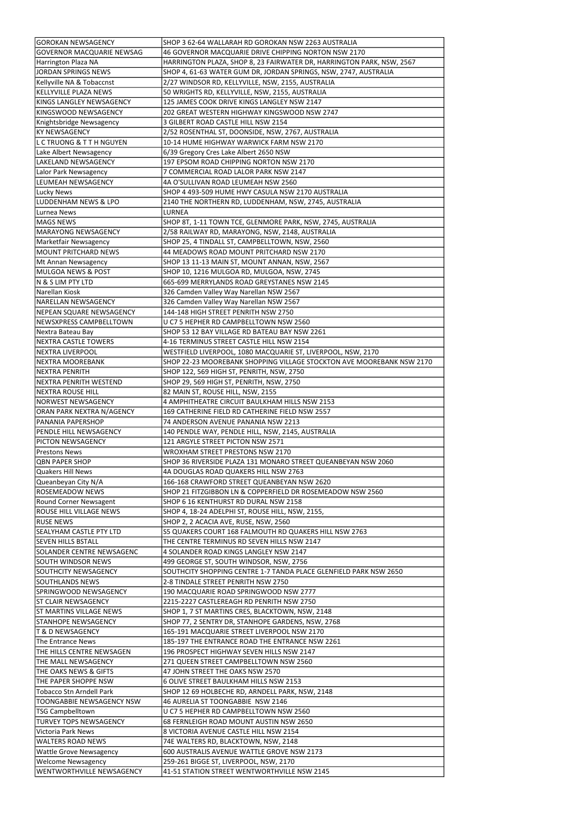| <b>GOROKAN NEWSAGENCY</b>       | SHOP 3 62-64 WALLARAH RD GOROKAN NSW 2263 AUSTRALIA                                                            |
|---------------------------------|----------------------------------------------------------------------------------------------------------------|
| GOVERNOR MACQUARIE NEWSAG       | 46 GOVERNOR MACQUARIE DRIVE CHIPPING NORTON NSW 2170                                                           |
| Harrington Plaza NA             | HARRINGTON PLAZA, SHOP 8, 23 FAIRWATER DR, HARRINGTON PARK, NSW, 2567                                          |
| JORDAN SPRINGS NEWS             | SHOP 4, 61-63 WATER GUM DR, JORDAN SPRINGS, NSW, 2747, AUSTRALIA                                               |
| Kellyville NA & Tobaccnst       | 2/27 WINDSOR RD, KELLYVILLE, NSW, 2155, AUSTRALIA                                                              |
| KELLYVILLE PLAZA NEWS           | 50 WRIGHTS RD, KELLYVILLE, NSW, 2155, AUSTRALIA                                                                |
| KINGS LANGLEY NEWSAGENCY        | 125 JAMES COOK DRIVE KINGS LANGLEY NSW 2147                                                                    |
| KINGSWOOD NEWSAGENCY            | 202 GREAT WESTERN HIGHWAY KINGSWOOD NSW 2747                                                                   |
| Knightsbridge Newsagency        | 3 GILBERT ROAD CASTLE HILL NSW 2154                                                                            |
| <b>KY NEWSAGENCY</b>            | 2/52 ROSENTHAL ST, DOONSIDE, NSW, 2767, AUSTRALIA                                                              |
| LCTRUONG & TTH NGUYEN           | 10-14 HUME HIGHWAY WARWICK FARM NSW 2170                                                                       |
| Lake Albert Newsagency          | 6/39 Gregory Cres Lake Albert 2650 NSW                                                                         |
| LAKELAND NEWSAGENCY             | 197 EPSOM ROAD CHIPPING NORTON NSW 2170                                                                        |
| Lalor Park Newsagency           | 7 COMMERCIAL ROAD LALOR PARK NSW 2147                                                                          |
| <b>LEUMEAH NEWSAGENCY</b>       | 4A O'SULLIVAN ROAD LEUMEAH NSW 2560                                                                            |
| Lucky News                      | SHOP 4 493-509 HUME HWY CASULA NSW 2170 AUSTRALIA                                                              |
| <b>LUDDENHAM NEWS &amp; LPO</b> | 2140 THE NORTHERN RD, LUDDENHAM, NSW, 2745, AUSTRALIA                                                          |
| Lurnea News                     | LURNEA                                                                                                         |
| <b>MAGS NEWS</b>                |                                                                                                                |
| <b>MARAYONG NEWSAGENCY</b>      | SHOP 8T, 1-11 TOWN TCE, GLENMORE PARK, NSW, 2745, AUSTRALIA<br>2/58 RAILWAY RD, MARAYONG, NSW, 2148, AUSTRALIA |
|                                 |                                                                                                                |
| Marketfair Newsagency           | SHOP 25, 4 TINDALL ST, CAMPBELLTOWN, NSW, 2560                                                                 |
| <b>MOUNT PRITCHARD NEWS</b>     | 44 MEADOWS ROAD MOUNT PRITCHARD NSW 2170                                                                       |
| Mt Annan Newsagency             | SHOP 13 11-13 MAIN ST, MOUNT ANNAN, NSW, 2567                                                                  |
| <b>MULGOA NEWS &amp; POST</b>   | SHOP 10, 1216 MULGOA RD, MULGOA, NSW, 2745                                                                     |
| N & S LIM PTY LTD               | 665-699 MERRYLANDS ROAD GREYSTANES NSW 2145                                                                    |
| Narellan Kiosk                  | 326 Camden Valley Way Narellan NSW 2567                                                                        |
| NARELLAN NEWSAGENCY             | 326 Camden Valley Way Narellan NSW 2567                                                                        |
| NEPEAN SQUARE NEWSAGENCY        | 144-148 HIGH STREET PENRITH NSW 2750                                                                           |
| NEWSXPRESS CAMPBELLTOWN         | U C7 5 HEPHER RD CAMPBELLTOWN NSW 2560                                                                         |
| Nextra Bateau Bay               | SHOP 53 12 BAY VILLAGE RD BATEAU BAY NSW 2261                                                                  |
| <b>NEXTRA CASTLE TOWERS</b>     | 4-16 TERMINUS STREET CASTLE HILL NSW 2154                                                                      |
| <b>NEXTRA LIVERPOOL</b>         | WESTFIELD LIVERPOOL, 1080 MACQUARIE ST, LIVERPOOL, NSW, 2170                                                   |
| <b>NEXTRA MOOREBANK</b>         | SHOP 22-23 MOOREBANK SHOPPING VILLAGE STOCKTON AVE MOOREBANK NSW 2170                                          |
| <b>NEXTRA PENRITH</b>           | SHOP 122, 569 HIGH ST, PENRITH, NSW, 2750                                                                      |
| <b>NEXTRA PENRITH WESTEND</b>   | SHOP 29, 569 HIGH ST, PENRITH, NSW, 2750                                                                       |
| <b>NEXTRA ROUSE HILL</b>        | 82 MAIN ST, ROUSE HILL, NSW, 2155                                                                              |
| NORWEST NEWSAGENCY              | 4 AMPHITHEATRE CIRCUIT BAULKHAM HILLS NSW 2153                                                                 |
| ORAN PARK NEXTRA N/AGENCY       | 169 CATHERINE FIELD RD CATHERINE FIELD NSW 2557                                                                |
| PANANIA PAPERSHOP               | 74 ANDERSON AVENUE PANANIA NSW 2213                                                                            |
| PENDLE HILL NEWSAGENCY          | 140 PENDLE WAY, PENDLE HILL, NSW, 2145, AUSTRALIA                                                              |
| <b>PICTON NEWSAGENCY</b>        | 121 ARGYLE STREET PICTON NSW 2571                                                                              |
| <b>Prestons News</b>            | WROXHAM STREET PRESTONS NSW 2170                                                                               |
| <b>QBN PAPER SHOP</b>           | SHOP 36 RIVERSIDE PLAZA 131 MONARO STREET QUEANBEYAN NSW 2060                                                  |
| <b>Quakers Hill News</b>        | 4A DOUGLAS ROAD QUAKERS HILL NSW 2763                                                                          |
| Queanbeyan City N/A             | 166-168 CRAWFORD STREET QUEANBEYAN NSW 2620                                                                    |
| <b>ROSEMEADOW NEWS</b>          | SHOP 21 FITZGIBBON LN & COPPERFIELD DR ROSEMEADOW NSW 2560                                                     |
| Round Corner Newsagent          | SHOP 6 16 KENTHURST RD DURAL NSW 2158                                                                          |
| ROUSE HILL VILLAGE NEWS         | SHOP 4, 18-24 ADELPHI ST, ROUSE HILL, NSW, 2155,                                                               |
| <b>RUSE NEWS</b>                | SHOP 2, 2 ACACIA AVE, RUSE, NSW, 2560                                                                          |
| <b>SEALYHAM CASTLE PTY LTD</b>  | S5 QUAKERS COURT 168 FALMOUTH RD QUAKERS HILL NSW 2763                                                         |
| <b>SEVEN HILLS BSTALL</b>       | THE CENTRE TERMINUS RD SEVEN HILLS NSW 2147                                                                    |
| SOLANDER CENTRE NEWSAGENC       | 4 SOLANDER ROAD KINGS LANGLEY NSW 2147                                                                         |
| <b>SOUTH WINDSOR NEWS</b>       | 499 GEORGE ST, SOUTH WINDSOR, NSW, 2756                                                                        |
| <b>SOUTHCITY NEWSAGENCY</b>     | SOUTHCITY SHOPPING CENTRE 1-7 TANDA PLACE GLENFIELD PARK NSW 2650                                              |
| <b>SOUTHLANDS NEWS</b>          | 2-8 TINDALE STREET PENRITH NSW 2750                                                                            |
| SPRINGWOOD NEWSAGENCY           | 190 MACQUARIE ROAD SPRINGWOOD NSW 2777                                                                         |
| <b>ST CLAIR NEWSAGENCY</b>      | 2215-2227 CASTLEREAGH RD PENRITH NSW 2750                                                                      |
| <b>ST MARTINS VILLAGE NEWS</b>  | SHOP 1, 7 ST MARTINS CRES, BLACKTOWN, NSW, 2148                                                                |
| STANHOPE NEWSAGENCY             | SHOP 77, 2 SENTRY DR, STANHOPE GARDENS, NSW, 2768                                                              |
| <b>T &amp; D NEWSAGENCY</b>     | 165-191 MACQUARIE STREET LIVERPOOL NSW 2170                                                                    |
| The Entrance News               | 185-197 THE ENTRANCE ROAD THE ENTRANCE NSW 2261                                                                |
| THE HILLS CENTRE NEWSAGEN       | 196 PROSPECT HIGHWAY SEVEN HILLS NSW 2147                                                                      |
| THE MALL NEWSAGENCY             | 271 QUEEN STREET CAMPBELLTOWN NSW 2560                                                                         |
| THE OAKS NEWS & GIFTS           | 47 JOHN STREET THE OAKS NSW 2570                                                                               |
| THE PAPER SHOPPE NSW            | 6 OLIVE STREET BAULKHAM HILLS NSW 2153                                                                         |
| <b>Tobacco Stn Arndell Park</b> | SHOP 12 69 HOLBECHE RD, ARNDELL PARK, NSW, 2148                                                                |
| TOONGABBIE NEWSAGENCY NSW       | 46 AURELIA ST TOONGABBIE NSW 2146                                                                              |
| <b>TSG Campbelltown</b>         | U C7 5 HEPHER RD CAMPBELLTOWN NSW 2560                                                                         |
| <b>TURVEY TOPS NEWSAGENCY</b>   | 68 FERNLEIGH ROAD MOUNT AUSTIN NSW 2650                                                                        |
| Victoria Park News              | 8 VICTORIA AVENUE CASTLE HILL NSW 2154                                                                         |
| <b>WALTERS ROAD NEWS</b>        | 74E WALTERS RD, BLACKTOWN, NSW, 2148                                                                           |
| <b>Wattle Grove Newsagency</b>  | 600 AUSTRALIS AVENUE WATTLE GROVE NSW 2173                                                                     |
| <b>Welcome Newsagency</b>       | 259-261 BIGGE ST, LIVERPOOL, NSW, 2170                                                                         |
| WENTWORTHVILLE NEWSAGENCY       | 41-51 STATION STREET WENTWORTHVILLE NSW 2145                                                                   |